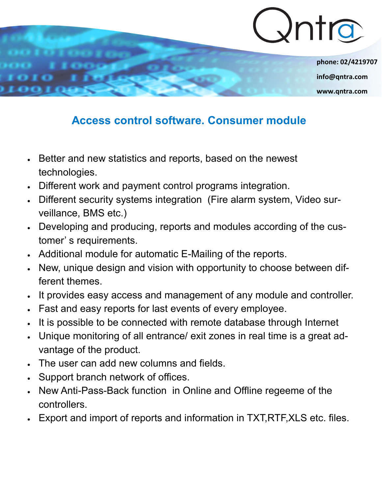

**phone: 02/4219707 info@qntra.com www.qntra.com**

## **Access control software. Consumer module**

- Better and new statistics and reports, based on the newest technologies.
- Different work and payment control programs integration.
- Different security systems integration (Fire alarm system, Video surveillance, BMS etc.)
- Developing and producing, reports and modules according of the customer' s requirements.
- Additional module for automatic E-Mailing of the reports.
- New, unique design and vision with opportunity to choose between different themes.
- It provides easy access and management of any module and controller.
- Fast and easy reports for last events of every employee.
- It is possible to be connected with remote database through Internet
- Unique monitoring of all entrance/ exit zones in real time is a great advantage of the product.
- The user can add new columns and fields.
- Support branch network of offices.
- New Anti-Pass-Back function in Online and Offline regeeme of the controllers.
- Export and import of reports and information in TXT,RTF,XLS etc. files.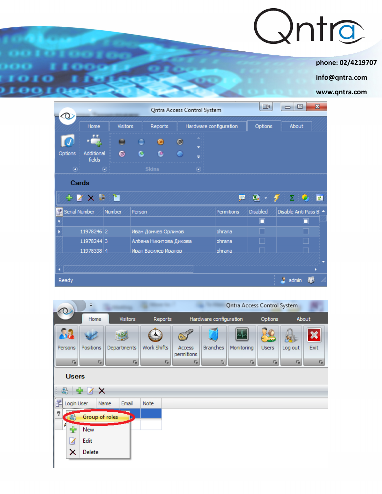